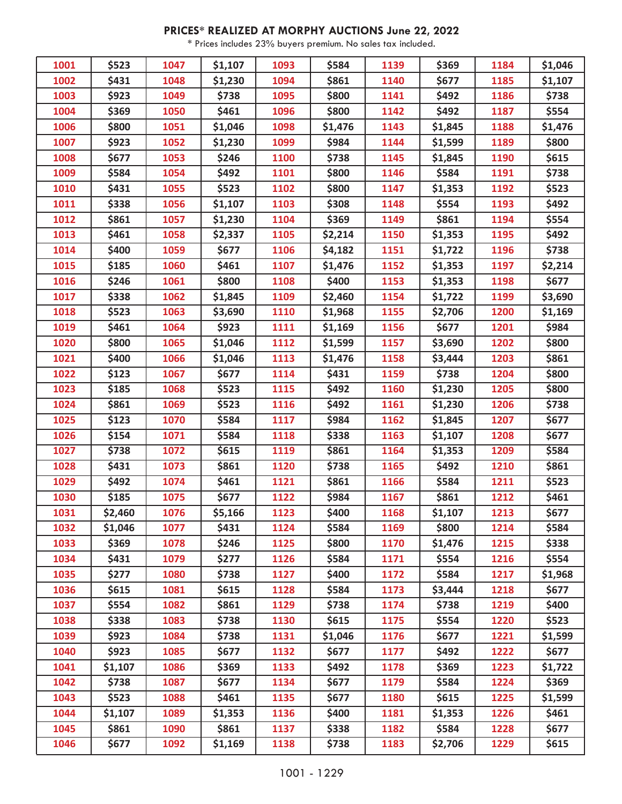## **PRICES\* REALIZED AT MORPHY AUCTIONS June 22, 2022**

\* Prices includes 23% buyers premium. No sales tax included.

| 1001 | \$523   | 1047 | \$1,107 | 1093 | \$584   | 1139 | \$369   | 1184 | \$1,046      |
|------|---------|------|---------|------|---------|------|---------|------|--------------|
| 1002 | \$431   | 1048 | \$1,230 | 1094 | \$861   | 1140 | \$677   | 1185 | \$1,107      |
| 1003 | \$923   | 1049 | \$738   | 1095 | \$800   | 1141 | \$492   | 1186 | \$738        |
| 1004 | \$369   | 1050 | \$461   | 1096 | \$800   | 1142 | \$492   | 1187 | \$554        |
| 1006 | \$800   | 1051 | \$1,046 | 1098 | \$1,476 | 1143 | \$1,845 | 1188 | \$1,476      |
| 1007 | \$923   | 1052 | \$1,230 | 1099 | \$984   | 1144 | \$1,599 | 1189 | \$800        |
| 1008 | \$677   | 1053 | \$246   | 1100 | \$738   | 1145 | \$1,845 | 1190 | \$615        |
| 1009 | \$584   | 1054 | \$492   | 1101 | \$800   | 1146 | \$584   | 1191 | \$738        |
| 1010 | \$431   | 1055 | \$523   | 1102 | \$800   | 1147 | \$1,353 | 1192 | \$523        |
| 1011 | \$338   | 1056 | \$1,107 | 1103 | \$308   | 1148 | \$554   | 1193 | \$492        |
| 1012 | \$861   | 1057 | \$1,230 | 1104 | \$369   | 1149 | \$861   | 1194 | \$554        |
| 1013 | \$461   | 1058 | \$2,337 | 1105 | \$2,214 | 1150 | \$1,353 | 1195 | \$492        |
| 1014 | \$400   | 1059 | \$677   | 1106 | \$4,182 | 1151 | \$1,722 | 1196 | \$738        |
| 1015 | \$185   | 1060 | \$461   | 1107 | \$1,476 | 1152 | \$1,353 | 1197 | \$2,214      |
| 1016 | \$246   | 1061 | \$800   | 1108 | \$400   | 1153 | \$1,353 | 1198 | \$677        |
| 1017 | \$338   | 1062 | \$1,845 | 1109 | \$2,460 | 1154 | \$1,722 | 1199 | \$3,690      |
| 1018 | \$523   | 1063 | \$3,690 | 1110 | \$1,968 | 1155 | \$2,706 | 1200 | \$1,169      |
| 1019 | \$461   | 1064 | \$923   | 1111 | \$1,169 | 1156 | \$677   | 1201 | \$984        |
| 1020 | \$800   | 1065 | \$1,046 | 1112 | \$1,599 | 1157 | \$3,690 | 1202 | \$800        |
| 1021 | \$400   | 1066 | \$1,046 | 1113 | \$1,476 | 1158 | \$3,444 | 1203 | \$861        |
| 1022 | \$123   | 1067 | \$677   | 1114 | \$431   | 1159 | \$738   | 1204 | \$800        |
| 1023 | \$185   | 1068 | \$523   | 1115 | \$492   | 1160 | \$1,230 | 1205 | \$800        |
| 1024 | \$861   | 1069 | \$523   | 1116 | \$492   | 1161 | \$1,230 | 1206 | \$738        |
| 1025 | \$123   | 1070 | \$584   | 1117 | \$984   | 1162 | \$1,845 | 1207 | \$677        |
| 1026 | \$154   | 1071 | \$584   | 1118 | \$338   | 1163 | \$1,107 | 1208 | \$677        |
| 1027 | \$738   | 1072 | \$615   | 1119 | \$861   | 1164 | \$1,353 | 1209 | \$584        |
| 1028 | \$431   | 1073 | \$861   | 1120 | \$738   | 1165 | \$492   | 1210 | \$861        |
| 1029 | \$492   | 1074 | \$461   | 1121 | \$861   | 1166 | \$584   | 1211 | \$523        |
| 1030 | \$185   | 1075 | \$677   | 1122 | \$984   | 1167 | \$861   | 1212 | \$461        |
| 1031 | \$2,460 | 1076 | \$5,166 | 1123 | \$400   | 1168 | \$1,107 | 1213 | <b>\$677</b> |
| 1032 | \$1,046 | 1077 | \$431   | 1124 | \$584   | 1169 | \$800   | 1214 | \$584        |
| 1033 | \$369   | 1078 | \$246   | 1125 | \$800   | 1170 | \$1,476 | 1215 | \$338        |
| 1034 | \$431   | 1079 | \$277   | 1126 | \$584   | 1171 | \$554   | 1216 | \$554        |
| 1035 | \$277   | 1080 | \$738   | 1127 | \$400   | 1172 | \$584   | 1217 | \$1,968      |
| 1036 | \$615   | 1081 | \$615   | 1128 | \$584   | 1173 | \$3,444 | 1218 | \$677        |
| 1037 | \$554   | 1082 | \$861   | 1129 | \$738   | 1174 | \$738   | 1219 | \$400        |
| 1038 | \$338   | 1083 | \$738   | 1130 | \$615   | 1175 | \$554   | 1220 | \$523        |
| 1039 | \$923   | 1084 | \$738   | 1131 | \$1,046 | 1176 | \$677   | 1221 | \$1,599      |
| 1040 | \$923   | 1085 | \$677   | 1132 | \$677   | 1177 | \$492   | 1222 | \$677        |
| 1041 | \$1,107 | 1086 | \$369   | 1133 | \$492   | 1178 | \$369   | 1223 | \$1,722      |
| 1042 | \$738   | 1087 | \$677   | 1134 | \$677   | 1179 | \$584   | 1224 | \$369        |
| 1043 | \$523   | 1088 | \$461   | 1135 | \$677   | 1180 | \$615   | 1225 | \$1,599      |
| 1044 | \$1,107 | 1089 | \$1,353 | 1136 | \$400   | 1181 | \$1,353 | 1226 | \$461        |
| 1045 | \$861   | 1090 | \$861   | 1137 | \$338   | 1182 | \$584   | 1228 | \$677        |
| 1046 | \$677   | 1092 | \$1,169 | 1138 | \$738   | 1183 | \$2,706 | 1229 | \$615        |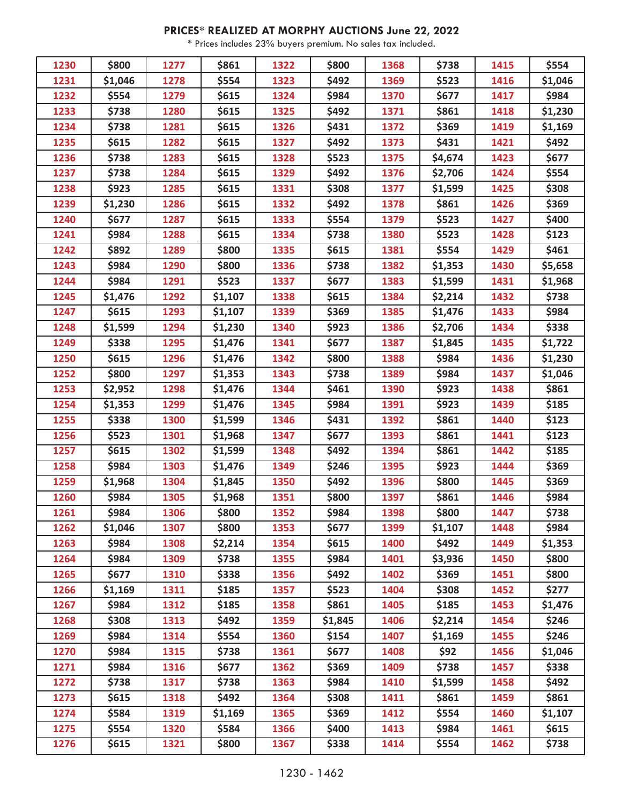## **PRICES\* REALIZED AT MORPHY AUCTIONS June 22, 2022**

\* Prices includes 23% buyers premium. No sales tax included.

| 1230 | \$800   | 1277 | \$861        | 1322 | \$800   | 1368 | \$738        | 1415 | \$554   |
|------|---------|------|--------------|------|---------|------|--------------|------|---------|
| 1231 | \$1,046 | 1278 | \$554        | 1323 | \$492   | 1369 | \$523        | 1416 | \$1,046 |
| 1232 | \$554   | 1279 | \$615        | 1324 | \$984   | 1370 | \$677        | 1417 | \$984   |
| 1233 | \$738   | 1280 | \$615        | 1325 | \$492   | 1371 | \$861        | 1418 | \$1,230 |
| 1234 | \$738   | 1281 | \$615        | 1326 | \$431   | 1372 | \$369        | 1419 | \$1,169 |
| 1235 | \$615   | 1282 | \$615        | 1327 | \$492   | 1373 | \$431        | 1421 | \$492   |
| 1236 | \$738   | 1283 | \$615        | 1328 | \$523   | 1375 | \$4,674      | 1423 | \$677   |
| 1237 | \$738   | 1284 | \$615        | 1329 | \$492   | 1376 | \$2,706      | 1424 | \$554   |
| 1238 | \$923   | 1285 | \$615        | 1331 | \$308   | 1377 | \$1,599      | 1425 | \$308   |
| 1239 | \$1,230 | 1286 | \$615        | 1332 | \$492   | 1378 | \$861        | 1426 | \$369   |
| 1240 | \$677   | 1287 | \$615        | 1333 | \$554   | 1379 | \$523        | 1427 | \$400   |
| 1241 | \$984   | 1288 | \$615        | 1334 | \$738   | 1380 | \$523        | 1428 | \$123   |
| 1242 | \$892   | 1289 | \$800        | 1335 | \$615   | 1381 | \$554        | 1429 | \$461   |
| 1243 | \$984   | 1290 | \$800        | 1336 | \$738   | 1382 | \$1,353      | 1430 | \$5,658 |
| 1244 | \$984   | 1291 | \$523        | 1337 | \$677   | 1383 | \$1,599      | 1431 | \$1,968 |
| 1245 | \$1,476 | 1292 | \$1,107      | 1338 | \$615   | 1384 | \$2,214      | 1432 | \$738   |
| 1247 | \$615   | 1293 | \$1,107      | 1339 | \$369   | 1385 | \$1,476      | 1433 | \$984   |
| 1248 | \$1,599 | 1294 | \$1,230      | 1340 | \$923   | 1386 | \$2,706      | 1434 | \$338   |
| 1249 | \$338   | 1295 | \$1,476      | 1341 | \$677   | 1387 | \$1,845      | 1435 | \$1,722 |
| 1250 | \$615   | 1296 | \$1,476      | 1342 | \$800   | 1388 | \$984        | 1436 | \$1,230 |
| 1252 | \$800   | 1297 | \$1,353      | 1343 | \$738   | 1389 | \$984        | 1437 | \$1,046 |
| 1253 | \$2,952 | 1298 | \$1,476      | 1344 | \$461   | 1390 | \$923        | 1438 | \$861   |
| 1254 | \$1,353 | 1299 | \$1,476      | 1345 | \$984   | 1391 | \$923        | 1439 | \$185   |
| 1255 | \$338   | 1300 | \$1,599      | 1346 | \$431   | 1392 | \$861        | 1440 | \$123   |
| 1256 | \$523   | 1301 | \$1,968      | 1347 | \$677   | 1393 | \$861        | 1441 | \$123   |
| 1257 | \$615   | 1302 | \$1,599      | 1348 | \$492   | 1394 | \$861        | 1442 | \$185   |
| 1258 | \$984   | 1303 | \$1,476      | 1349 | \$246   | 1395 | \$923        | 1444 | \$369   |
| 1259 | \$1,968 | 1304 | \$1,845      | 1350 | \$492   | 1396 | \$800        | 1445 | 5369    |
| 1260 | \$984   | 1305 | \$1,968      | 1351 | \$800   | 1397 | \$861        | 1446 | \$984   |
| 1261 | \$984   | 1306 | <b>\$800</b> | 1352 | \$984   | 1398 | <b>\$800</b> | 1447 | \$738   |
| 1262 | \$1,046 | 1307 | \$800        | 1353 | \$677   | 1399 | \$1,107      | 1448 | \$984   |
| 1263 | \$984   | 1308 | \$2,214      | 1354 | \$615   | 1400 | \$492        | 1449 | \$1,353 |
| 1264 | \$984   | 1309 | \$738        | 1355 | \$984   | 1401 | \$3,936      | 1450 | \$800   |
| 1265 | \$677   | 1310 | \$338        | 1356 | \$492   | 1402 | \$369        | 1451 | \$800   |
| 1266 | \$1,169 | 1311 | \$185        | 1357 | \$523   | 1404 | \$308        | 1452 | \$277   |
| 1267 | \$984   | 1312 | \$185        | 1358 | \$861   | 1405 | \$185        | 1453 | \$1,476 |
| 1268 | \$308   | 1313 | \$492        | 1359 | \$1,845 | 1406 | \$2,214      | 1454 | \$246   |
| 1269 | \$984   | 1314 | \$554        | 1360 | \$154   | 1407 | \$1,169      | 1455 | \$246   |
| 1270 | \$984   | 1315 | \$738        | 1361 | \$677   | 1408 | \$92         | 1456 | \$1,046 |
| 1271 | \$984   | 1316 | \$677        | 1362 | \$369   | 1409 | \$738        | 1457 | \$338   |
| 1272 | \$738   | 1317 | \$738        | 1363 | \$984   | 1410 | \$1,599      | 1458 | \$492   |
| 1273 | \$615   | 1318 | \$492        | 1364 | \$308   | 1411 | \$861        | 1459 | \$861   |
| 1274 | \$584   | 1319 | \$1,169      | 1365 | \$369   | 1412 | \$554        | 1460 | \$1,107 |
| 1275 | \$554   | 1320 | \$584        | 1366 | \$400   | 1413 | \$984        | 1461 | \$615   |
| 1276 | \$615   | 1321 | \$800        | 1367 | \$338   | 1414 | \$554        | 1462 | \$738   |